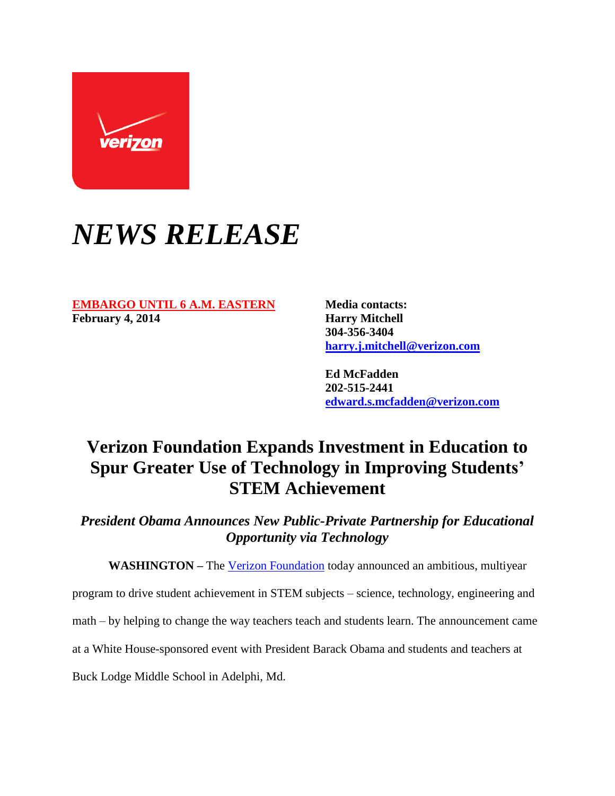

## *NEWS RELEASE*

## **EMBARGO UNTIL 6 A.M. EASTERN** Media contacts: **February 4, 2014 Harry Mitchell**

**304-356-3404 [harry.j.mitchell@verizon.com](mailto:harry.j.mitchell@verizon.com)**

**Ed McFadden 202-515-2441 [edward.s.mcfadden@verizon.com](mailto:edward.s.mcfadden@verizon.com)**

## **Verizon Foundation Expands Investment in Education to Spur Greater Use of Technology in Improving Students' STEM Achievement**

*President Obama Announces New Public-Private Partnership for Educational Opportunity via Technology*

WASHINGTON – The [Verizon Foundation](http://www.verizonfoundation.org/) today announced an ambitious, multiyear

program to drive student achievement in STEM subjects – science, technology, engineering and

math – by helping to change the way teachers teach and students learn. The announcement came

at a White House-sponsored event with President Barack Obama and students and teachers at

Buck Lodge Middle School in Adelphi, Md.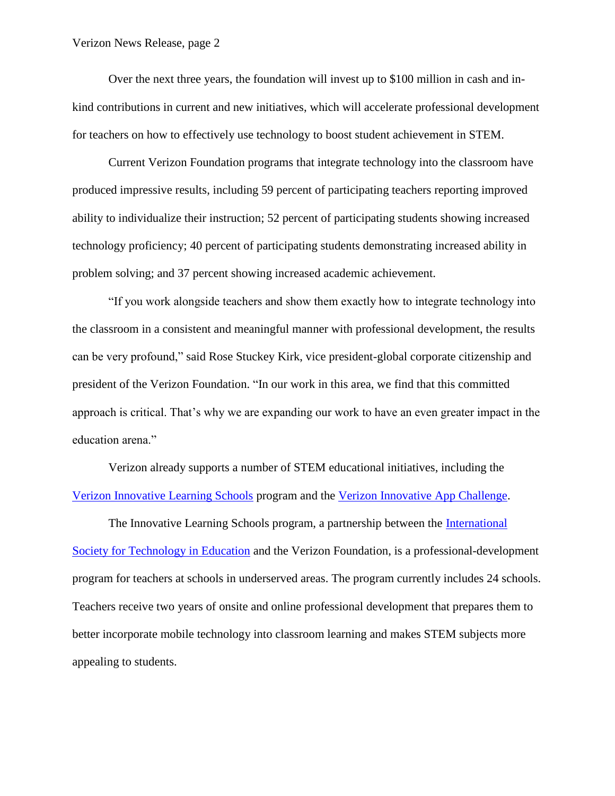Over the next three years, the foundation will invest up to \$100 million in cash and inkind contributions in current and new initiatives, which will accelerate professional development for teachers on how to effectively use technology to boost student achievement in STEM.

Current Verizon Foundation programs that integrate technology into the classroom have produced impressive results, including 59 percent of participating teachers reporting improved ability to individualize their instruction; 52 percent of participating students showing increased technology proficiency; 40 percent of participating students demonstrating increased ability in problem solving; and 37 percent showing increased academic achievement.

"If you work alongside teachers and show them exactly how to integrate technology into the classroom in a consistent and meaningful manner with professional development, the results can be very profound," said Rose Stuckey Kirk, vice president-global corporate citizenship and president of the Verizon Foundation. "In our work in this area, we find that this committed approach is critical. That's why we are expanding our work to have an even greater impact in the education arena."

Verizon already supports a number of STEM educational initiatives, including the [Verizon Innovative Learning Schools](http://www.verizonfoundation.org/our-focus/) program and the [Verizon Innovative App Challenge.](http://appchallenge.tsaweb.org/)

The Innovative Learning Schools program, a partnership between the [International](http://www.iste.org/)  [Society for Technology in Education](http://www.iste.org/) and the Verizon Foundation, is a professional-development program for teachers at schools in underserved areas. The program currently includes 24 schools. Teachers receive two years of onsite and online professional development that prepares them to better incorporate mobile technology into classroom learning and makes STEM subjects more appealing to students.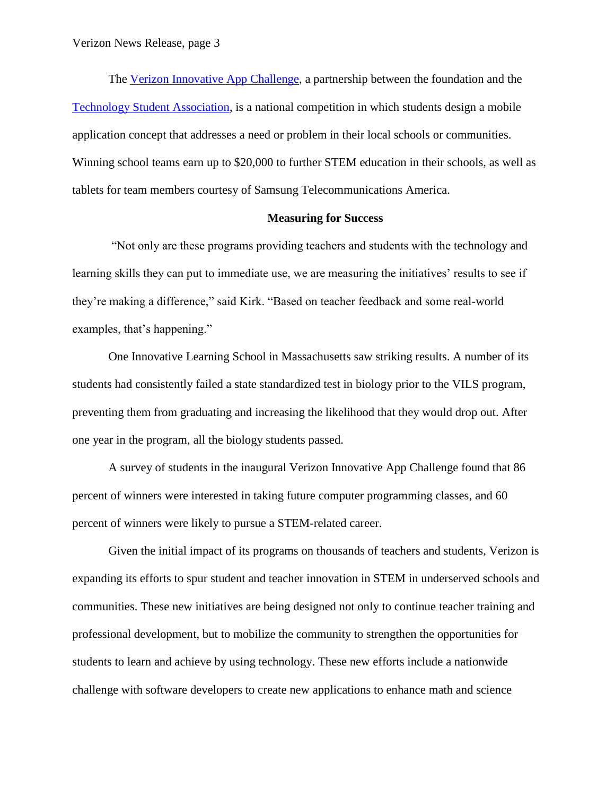The [Verizon Innovative App Challenge,](http://appchallenge.tsaweb.org/) a partnership between the foundation and the [Technology Student Association,](http://www.tsaweb.org/) is a national competition in which students design a mobile application concept that addresses a need or problem in their local schools or communities. Winning school teams earn up to \$20,000 to further STEM education in their schools, as well as tablets for team members courtesy of Samsung Telecommunications America.

## **Measuring for Success**

"Not only are these programs providing teachers and students with the technology and learning skills they can put to immediate use, we are measuring the initiatives' results to see if they're making a difference," said Kirk. "Based on teacher feedback and some real-world examples, that's happening."

One Innovative Learning School in Massachusetts saw striking results. A number of its students had consistently failed a state standardized test in biology prior to the VILS program, preventing them from graduating and increasing the likelihood that they would drop out. After one year in the program, all the biology students passed.

A survey of students in the inaugural Verizon Innovative App Challenge found that 86 percent of winners were interested in taking future computer programming classes, and 60 percent of winners were likely to pursue a STEM-related career.

Given the initial impact of its programs on thousands of teachers and students, Verizon is expanding its efforts to spur student and teacher innovation in STEM in underserved schools and communities. These new initiatives are being designed not only to continue teacher training and professional development, but to mobilize the community to strengthen the opportunities for students to learn and achieve by using technology. These new efforts include a nationwide challenge with software developers to create new applications to enhance math and science